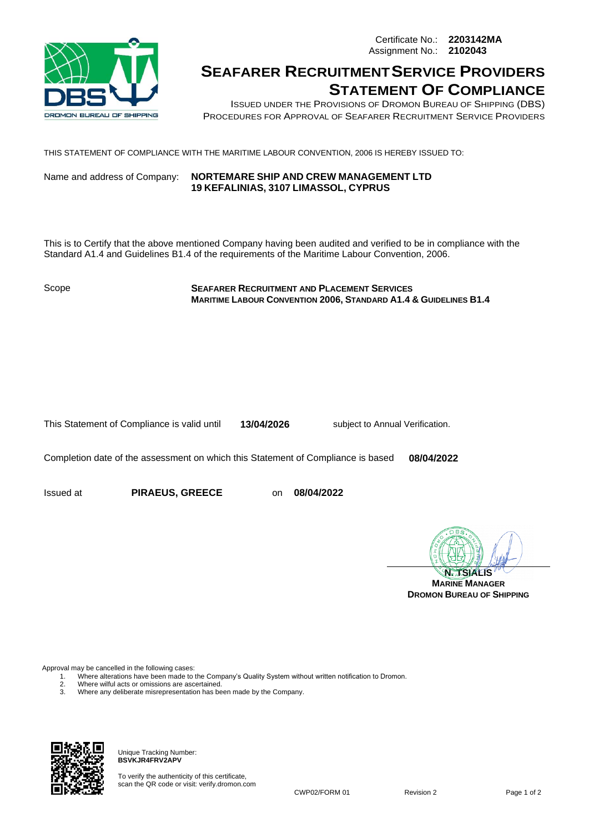Certificate No.: **2203142MA** Assignment No.: **2102043**



## **SEAFARER RECRUITMENTSERVICE PROVIDERS STATEMENT OF COMPLIANCE**

ISSUED UNDER THE PROVISIONS OF DROMON BUREAU OF SHIPPING (DBS) PROCEDURES FOR APPROVAL OF SEAFARER RECRUITMENT SERVICE PROVIDERS

THIS STATEMENT OF COMPLIANCE WITH THE MARITIME LABOUR CONVENTION, 2006 IS HEREBY ISSUED TO:

Name and address of Company: **NORTEMARE SHIP AND CREW MANAGEMENT LTD 19 KEFALINIAS, 3107 LIMASSOL, CYPRUS**

This is to Certify that the above mentioned Company having been audited and verified to be in compliance with the Standard A1.4 and Guidelines B1.4 of the requirements of the Maritime Labour Convention, 2006.

Scope **SEAFARER RECRUITMENT AND PLACEMENT SERVICES MARITIME LABOUR CONVENTION 2006, STANDARD A1.4 & GUIDELINES B1.4**

This Statement of Compliance is valid until **13/04/2026** subject to Annual Verification.

Completion date of the assessment on which this Statement of Compliance is based **08/04/2022**

Issued at **PIRAEUS, GREECE** on **08/04/2022**

**N. TSIALIS**

**MARINE MANAGER DROMON BUREAU OF SHIPPING**

Approval may be cancelled in the following cases:<br>1. Where alterations have been made to

1. Where alterations have been made to the Company's Quality System without written notification to Dromon.

- 2. Where wilful acts or omissions are ascertained.<br>3. Where any deliberate misrepresentation has be
- 3. Where any deliberate misrepresentation has been made by the Company.



Unique Tracking Number: **BSVKJR4FRV2APV**

To verify the authenticity of this certificate, scan the QR code or visit: verify.dromon.com